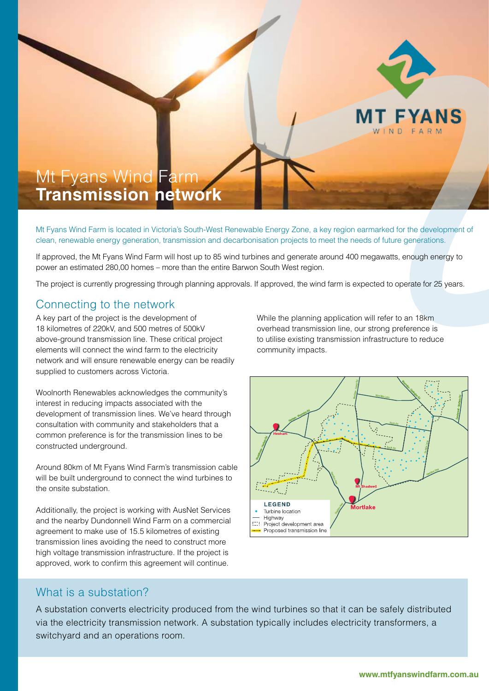

# Mt Fyans Wind Farm **Transmission network**

Mt Fyans Wind Farm is located in Victoria's South-West Renewable Energy Zone, a key region earmarked for the development of clean, renewable energy generation, transmission and decarbonisation projects to meet the needs of future generations.

If approved, the Mt Fyans Wind Farm will host up to 85 wind turbines and generate around 400 megawatts, enough energy to power an estimated 280,00 homes – more than the entire Barwon South West region.

The project is currently progressing through planning approvals. If approved, the wind farm is expected to operate for 25 years.

### Connecting to the network

A key part of the project is the development of 18 kilometres of 220kV, and 500 metres of 500kV above-ground transmission line. These critical project elements will connect the wind farm to the electricity network and will ensure renewable energy can be readily supplied to customers across Victoria.

Woolnorth Renewables acknowledges the community's interest in reducing impacts associated with the development of transmission lines. We've heard through consultation with community and stakeholders that a common preference is for the transmission lines to be constructed underground.

Around 80km of Mt Fyans Wind Farm's transmission cable will be built underground to connect the wind turbines to the onsite substation.

Additionally, the project is working with AusNet Services and the nearby Dundonnell Wind Farm on a commercial agreement to make use of 15.5 kilometres of existing transmission lines avoiding the need to construct more high voltage transmission infrastructure. If the project is approved, work to confirm this agreement will continue.

While the planning application will refer to an 18km overhead transmission line, our strong preference is to utilise existing transmission infrastructure to reduce community impacts.



#### What is a substation?

A substation converts electricity produced from the wind turbines so that it can be safely distributed via the electricity transmission network. A substation typically includes electricity transformers, a switchyard and an operations room.